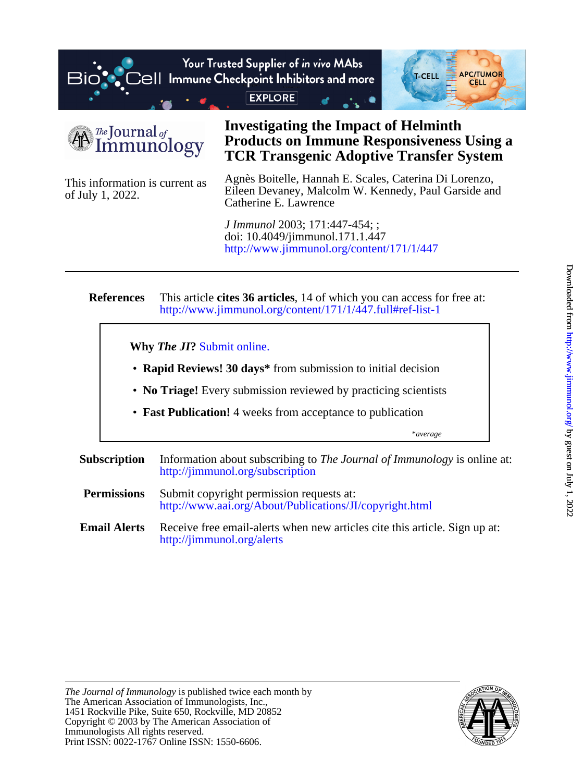



of July 1, 2022. This information is current as

# **TCR Transgenic Adoptive Transfer System Products on Immune Responsiveness Using a Investigating the Impact of Helminth**

Catherine E. Lawrence Eileen Devaney, Malcolm W. Kennedy, Paul Garside and Agnès Boitelle, Hannah E. Scales, Caterina Di Lorenzo,

<http://www.jimmunol.org/content/171/1/447> doi: 10.4049/jimmunol.171.1.447 *J Immunol* 2003; 171:447-454; ;

#### **References** <http://www.jimmunol.org/content/171/1/447.full#ref-list-1> This article **cites 36 articles**, 14 of which you can access for free at:

**Why** *The JI***?** [Submit online.](https://ji.msubmit.net)

- **Rapid Reviews! 30 days\*** from submission to initial decision
- **No Triage!** Every submission reviewed by practicing scientists
- **Fast Publication!** 4 weeks from acceptance to publication

\**average*

- **Subscription** <http://jimmunol.org/subscription> Information about subscribing to *The Journal of Immunology* is online at:
- **Permissions** <http://www.aai.org/About/Publications/JI/copyright.html> Submit copyright permission requests at:
- **Email Alerts** <http://jimmunol.org/alerts> Receive free email-alerts when new articles cite this article. Sign up at:

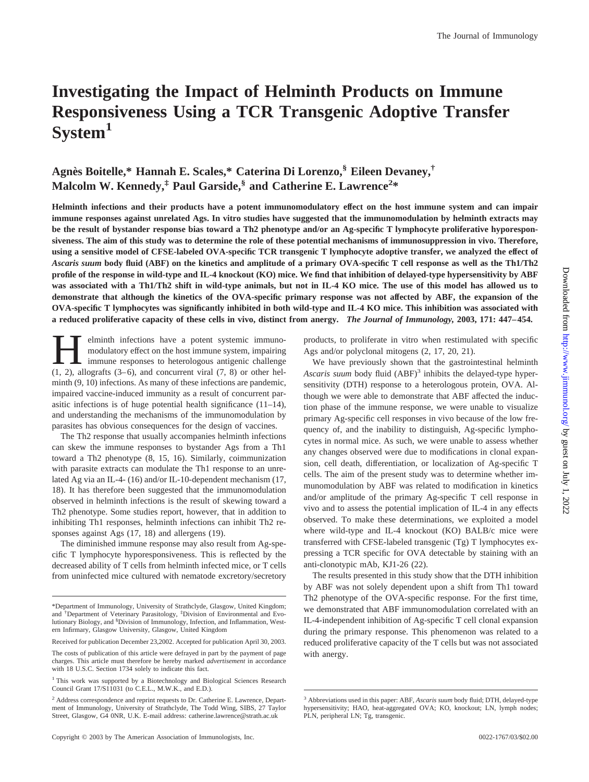# **Investigating the Impact of Helminth Products on Immune Responsiveness Using a TCR Transgenic Adoptive Transfer System1**

# **Agne`s Boitelle,\* Hannah E. Scales,\* Caterina Di Lorenzo,§ Eileen Devaney,† Malcolm W. Kennedy,‡ Paul Garside,§ and Catherine E. Lawrence<sup>2</sup> \***

**Helminth infections and their products have a potent immunomodulatory effect on the host immune system and can impair immune responses against unrelated Ags. In vitro studies have suggested that the immunomodulation by helminth extracts may be the result of bystander response bias toward a Th2 phenotype and/or an Ag-specific T lymphocyte proliferative hyporesponsiveness. The aim of this study was to determine the role of these potential mechanisms of immunosuppression in vivo. Therefore, using a sensitive model of CFSE-labeled OVA-specific TCR transgenic T lymphocyte adoptive transfer, we analyzed the effect of** *Ascaris suum* **body fluid (ABF) on the kinetics and amplitude of a primary OVA-specific T cell response as well as the Th1/Th2 profile of the response in wild-type and IL-4 knockout (KO) mice. We find that inhibition of delayed-type hypersensitivity by ABF was associated with a Th1/Th2 shift in wild-type animals, but not in IL-4 KO mice. The use of this model has allowed us to demonstrate that although the kinetics of the OVA-specific primary response was not affected by ABF, the expansion of the OVA-specific T lymphocytes was significantly inhibited in both wild-type and IL-4 KO mice. This inhibition was associated with a reduced proliferative capacity of these cells in vivo, distinct from anergy.** *The Journal of Immunology,* **2003, 171: 447–454.**

elminth infections have a potent systemic immuno-<br>modulatory effect on the host immune system, impairing<br>immune responses to heterologous antigenic challenge<br>(1 2) allografts (3–6) and concurrent viral (7 8) or other helmodulatory effect on the host immune system, impairing  $(1, 2)$ , allografts  $(3-6)$ , and concurrent viral  $(7, 8)$  or other helminth (9, 10) infections. As many of these infections are pandemic, impaired vaccine-induced immunity as a result of concurrent parasitic infections is of huge potential health significance (11–14), and understanding the mechanisms of the immunomodulation by parasites has obvious consequences for the design of vaccines.

The Th2 response that usually accompanies helminth infections can skew the immune responses to bystander Ags from a Th1 toward a Th2 phenotype (8, 15, 16). Similarly, coimmunization with parasite extracts can modulate the Th1 response to an unrelated Ag via an IL-4- (16) and/or IL-10-dependent mechanism (17, 18). It has therefore been suggested that the immunomodulation observed in helminth infections is the result of skewing toward a Th2 phenotype. Some studies report, however, that in addition to inhibiting Th1 responses, helminth infections can inhibit Th2 responses against Ags (17, 18) and allergens (19).

The diminished immune response may also result from Ag-specific T lymphocyte hyporesponsiveness. This is reflected by the decreased ability of T cells from helminth infected mice, or T cells from uninfected mice cultured with nematode excretory/secretory

Received for publication December 23,2002. Accepted for publication April 30, 2003.

products, to proliferate in vitro when restimulated with specific Ags and/or polyclonal mitogens (2, 17, 20, 21).

We have previously shown that the gastrointestinal helminth Ascaris suum body fluid (ABF)<sup>3</sup> inhibits the delayed-type hypersensitivity (DTH) response to a heterologous protein, OVA. Although we were able to demonstrate that ABF affected the induction phase of the immune response, we were unable to visualize primary Ag-specific cell responses in vivo because of the low frequency of, and the inability to distinguish, Ag-specific lymphocytes in normal mice. As such, we were unable to assess whether any changes observed were due to modifications in clonal expansion, cell death, differentiation, or localization of Ag-specific T cells. The aim of the present study was to determine whether immunomodulation by ABF was related to modification in kinetics and/or amplitude of the primary Ag-specific T cell response in vivo and to assess the potential implication of IL-4 in any effects observed. To make these determinations, we exploited a model where wild-type and IL-4 knockout (KO) BALB/c mice were transferred with CFSE-labeled transgenic (Tg) T lymphocytes expressing a TCR specific for OVA detectable by staining with an anti-clonotypic mAb, KJ1-26 (22).

The results presented in this study show that the DTH inhibition by ABF was not solely dependent upon a shift from Th1 toward Th2 phenotype of the OVA-specific response. For the first time, we demonstrated that ABF immunomodulation correlated with an IL-4-independent inhibition of Ag-specific T cell clonal expansion during the primary response. This phenomenon was related to a reduced proliferative capacity of the T cells but was not associated with anergy.

<sup>\*</sup>Department of Immunology, University of Strathclyde, Glasgow, United Kingdom; and † Department of Veterinary Parasitology, ‡ Division of Environmental and Evolutionary Biology, and <sup>§</sup>Division of Immunology, Infection, and Inflammation, Western Infirmary, Glasgow University, Glasgow, United Kingdom

The costs of publication of this article were defrayed in part by the payment of page charges. This article must therefore be hereby marked *advertisement* in accordance with 18 U.S.C. Section 1734 solely to indicate this fact.

<sup>&</sup>lt;sup>1</sup> This work was supported by a Biotechnology and Biological Sciences Research Council Grant 17/S11031 (to C.E.L., M.W.K., and E.D.).

<sup>2</sup> Address correspondence and reprint requests to Dr. Catherine E. Lawrence, Department of Immunology, University of Strathclyde, The Todd Wing, SIBS, 27 Taylor Street, Glasgow, G4 0NR, U.K. E-mail address: catherine.lawrence@strath.ac.uk

<sup>3</sup> Abbreviations used in this paper: ABF, *Ascaris suum* body fluid; DTH, delayed-type hypersensitivity; HAO, heat-aggregated OVA; KO, knockout; LN, lymph nodes; PLN, peripheral LN; Tg, transgenic.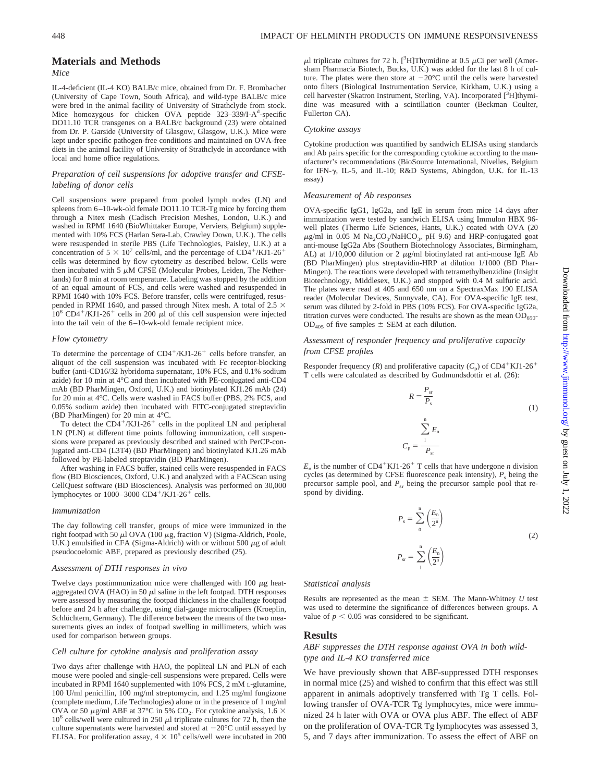## **Materials and Methods** *Mice*

IL-4-deficient (IL-4 KO) BALB/c mice, obtained from Dr. F. Brombacher (University of Cape Town, South Africa), and wild-type BALB/c mice were bred in the animal facility of University of Strathclyde from stock. Mice homozygous for chicken OVA peptide 323-339/I-A<sup>d</sup>-specific DO11.10 TCR transgenes on a BALB/c background (23) were obtained from Dr. P. Garside (University of Glasgow, Glasgow, U.K.). Mice were kept under specific pathogen-free conditions and maintained on OVA-free diets in the animal facility of University of Strathclyde in accordance with local and home office regulations.

# *Preparation of cell suspensions for adoptive transfer and CFSElabeling of donor cells*

Cell suspensions were prepared from pooled lymph nodes (LN) and spleens from 6–10-wk-old female DO11.10 TCR-Tg mice by forcing them through a Nitex mesh (Cadisch Precision Meshes, London, U.K.) and washed in RPMI 1640 (BioWhittaker Europe, Verviers, Belgium) supplemented with 10% FCS (Harlan Sera-Lab, Crawley Down, U.K.). The cells were resuspended in sterile PBS (Life Technologies, Paisley, U.K.) at a concentration of  $5 \times 10^7$  cells/ml, and the percentage of CD4<sup>+</sup>/KJ1-26<sup>+</sup> cells was determined by flow cytometry as described below. Cells were then incubated with 5  $\mu$ M CFSE (Molecular Probes, Leiden, The Netherlands) for 8 min at room temperature. Labeling was stopped by the addition of an equal amount of FCS, and cells were washed and resuspended in RPMI 1640 with 10% FCS. Before transfer, cells were centrifuged, resuspended in RPMI 1640, and passed through Nitex mesh. A total of 2.5  $\times$  $10^6$  CD4<sup>+</sup>/KJ1-26<sup>+</sup> cells in 200  $\mu$ l of this cell suspension were injected into the tail vein of the 6–10-wk-old female recipient mice.

#### *Flow cytometry*

To determine the percentage of  $CD4^+/KJ1-26^+$  cells before transfer, an aliquot of the cell suspension was incubated with Fc receptor-blocking buffer (anti-CD16/32 hybridoma supernatant, 10% FCS, and 0.1% sodium azide) for 10 min at 4°C and then incubated with PE-conjugated anti-CD4 mAb (BD PharMingen, Oxford, U.K.) and biotinylated KJ1.26 mAb (24) for 20 min at 4°C. Cells were washed in FACS buffer (PBS, 2% FCS, and 0.05% sodium azide) then incubated with FITC-conjugated streptavidin (BD PharMingen) for 20 min at 4°C.

To detect the  $CD4^+/KJ1-26^+$  cells in the popliteal LN and peripheral LN (PLN) at different time points following immunization, cell suspensions were prepared as previously described and stained with PerCP-conjugated anti-CD4 (L3T4) (BD PharMingen) and biotinylated KJ1.26 mAb followed by PE-labeled streptavidin (BD PharMingen).

After washing in FACS buffer, stained cells were resuspended in FACS flow (BD Biosciences, Oxford, U.K.) and analyzed with a FACScan using CellQuest software (BD Biosciences). Analysis was performed on 30,000 lymphocytes or  $1000-3000$  CD4<sup>+</sup>/KJ1-26<sup>+</sup> cells.

#### *Immunization*

The day following cell transfer, groups of mice were immunized in the right footpad with 50  $\mu$ l OVA (100  $\mu$ g, fraction V) (Sigma-Aldrich, Poole, U.K.) emulsified in CFA (Sigma-Aldrich) with or without 500  $\mu$ g of adult pseudocoelomic ABF, prepared as previously described (25).

#### *Assessment of DTH responses in vivo*

Twelve days postimmunization mice were challenged with 100  $\mu$ g heataggregated OVA (HAO) in 50  $\mu$ l saline in the left footpad. DTH responses were assessed by measuring the footpad thickness in the challenge footpad before and 24 h after challenge, using dial-gauge microcalipers (Kroeplin, Schlüchtern, Germany). The difference between the means of the two measurements gives an index of footpad swelling in millimeters, which was used for comparison between groups.

#### *Cell culture for cytokine analysis and proliferation assay*

Two days after challenge with HAO, the popliteal LN and PLN of each mouse were pooled and single-cell suspensions were prepared. Cells were incubated in RPMI 1640 supplemented with 10% FCS, 2 mM L-glutamine, 100 U/ml penicillin, 100 mg/ml streptomycin, and 1.25 mg/ml fungizone (complete medium, Life Technologies) alone or in the presence of 1 mg/ml OVA or 50  $\mu$ g/ml ABF at 37°C in 5% CO<sub>2</sub>. For cytokine analysis, 1.6  $\times$  $10<sup>6</sup>$  cells/well were cultured in 250  $\mu$ l triplicate cultures for 72 h, then the culture supernatants were harvested and stored at  $-20^{\circ}$ C until assayed by ELISA. For proliferation assay,  $4 \times 10^5$  cells/well were incubated in 200

 $\mu$ l triplicate cultures for 72 h. [<sup>3</sup>H]Thymidine at 0.5  $\mu$ Ci per well (Amersham Pharmacia Biotech, Bucks, U.K.) was added for the last 8 h of culture. The plates were then store at  $-20^{\circ}$ C until the cells were harvested onto filters (Biological Instrumentation Service, Kirkham, U.K.) using a cell harvester (Skatron Instrument, Sterling, VA). Incorporated [3H]thymidine was measured with a scintillation counter (Beckman Coulter, Fullerton CA).

#### *Cytokine assays*

Cytokine production was quantified by sandwich ELISAs using standards and Ab pairs specific for the corresponding cytokine according to the manufacturer's recommendations (BioSource International, Nivelles, Belgium for IFN- $\gamma$ , IL-5, and IL-10; R&D Systems, Abingdon, U.K. for IL-13 assay)

#### *Measurement of Ab responses*

OVA-specific IgG1, IgG2a, and IgE in serum from mice 14 days after immunization were tested by sandwich ELISA using Immulon HBX 96 well plates (Thermo Life Sciences, Hants, U.K.) coated with OVA (20  $\mu$ g/ml in 0.05 M Na<sub>2</sub>CO<sub>3</sub>/NaHCO<sub>3</sub>, pH 9.6) and HRP-conjugated goat anti-mouse IgG2a Abs (Southern Biotechnology Associates, Birmingham, AL) at  $1/10,000$  dilution or 2  $\mu$ g/ml biotinylated rat anti-mouse IgE Ab (BD PharMingen) plus streptavidin-HRP at dilution 1/1000 (BD Phar-Mingen). The reactions were developed with tetramethylbenzidine (Insight Biotechnology, Middlesex, U.K.) and stopped with 0.4 M sulfuric acid. The plates were read at 405 and 650 nm on a SpectraxMax 190 ELISA reader (Molecular Devices, Sunnyvale, CA). For OVA-specific IgE test, serum was diluted by 2-fold in PBS (10% FCS). For OVA-specific IgG2a, titration curves were conducted. The results are shown as the mean  $OD<sub>650</sub>$ - $OD<sub>405</sub>$  of five samples  $\pm$  SEM at each dilution.

# *Assessment of responder frequency and proliferative capacity from CFSE profiles*

Responder frequency (*R*) and proliferative capacity ( $C_p$ ) of CD4<sup>+</sup>KJ1-26<sup>+</sup> T cells were calculated as described by Gudmundsdottir et al. (26):

> $R = \frac{P_{\rm sr}}{P_{\rm s}}$ (1)  $C_{\rm p}$  =  $\sum_{1}^{n}$ n *E*n  $P_{\rm sr}$

 $E_n$  is the number of CD4<sup>+</sup>KJ1-26<sup>+</sup> T cells that have undergone *n* division cycles (as determined by CFSE fluorescence peak intensity),  $P_s$  being the precursor sample pool, and  $P_{sr}$  being the precursor sample pool that respond by dividing.

$$
P_{s} = \sum_{0}^{n} \left(\frac{E_{n}}{2^{n}}\right)
$$
  

$$
P_{sr} = \sum_{1}^{n} \left(\frac{E_{n}}{2^{n}}\right)
$$
 (2)

#### *Statistical analysis*

Results are represented as the mean  $\pm$  SEM. The Mann-Whitney *U* test was used to determine the significance of differences between groups. A value of  $p < 0.05$  was considered to be significant.

#### **Results**

# *ABF suppresses the DTH response against OVA in both wildtype and IL-4 KO transferred mice*

We have previously shown that ABF-suppressed DTH responses in normal mice (25) and wished to confirm that this effect was still apparent in animals adoptively transferred with Tg T cells. Following transfer of OVA-TCR Tg lymphocytes, mice were immunized 24 h later with OVA or OVA plus ABF. The effect of ABF on the proliferation of OVA-TCR Tg lymphocytes was assessed 3, 5, and 7 days after immunization. To assess the effect of ABF on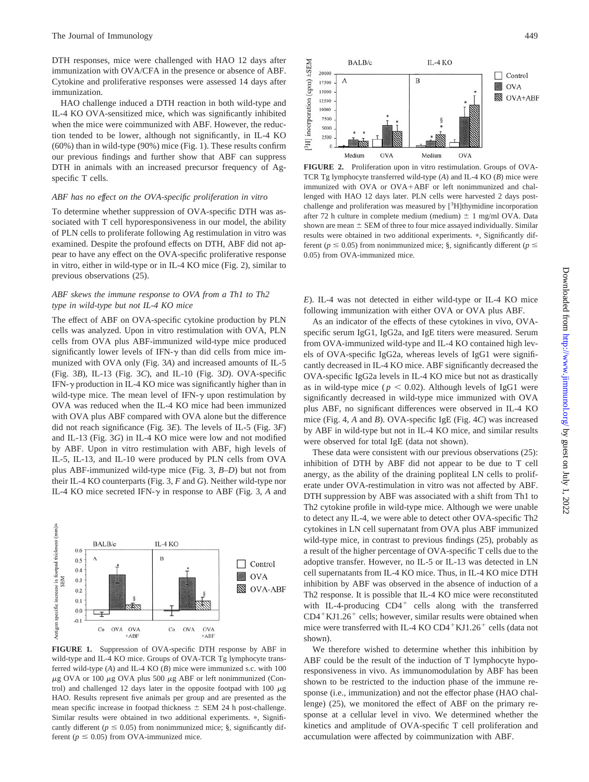DTH responses, mice were challenged with HAO 12 days after immunization with OVA/CFA in the presence or absence of ABF. Cytokine and proliferative responses were assessed 14 days after immunization.

HAO challenge induced a DTH reaction in both wild-type and IL-4 KO OVA-sensitized mice, which was significantly inhibited when the mice were coimmunized with ABF. However, the reduction tended to be lower, although not significantly, in IL-4 KO (60%) than in wild-type (90%) mice (Fig. 1). These results confirm our previous findings and further show that ABF can suppress DTH in animals with an increased precursor frequency of Agspecific T cells.

### *ABF has no effect on the OVA-specific proliferation in vitro*

To determine whether suppression of OVA-specific DTH was associated with T cell hyporesponsiveness in our model, the ability of PLN cells to proliferate following Ag restimulation in vitro was examined. Despite the profound effects on DTH, ABF did not appear to have any effect on the OVA-specific proliferative response in vitro, either in wild-type or in IL-4 KO mice (Fig. 2), similar to previous observations (25).

# *ABF skews the immune response to OVA from a Th1 to Th2 type in wild-type but not IL-4 KO mice*

The effect of ABF on OVA-specific cytokine production by PLN cells was analyzed. Upon in vitro restimulation with OVA, PLN cells from OVA plus ABF-immunized wild-type mice produced significantly lower levels of IFN- $\gamma$  than did cells from mice immunized with OVA only (Fig. 3*A*) and increased amounts of IL-5 (Fig. 3*B*), IL-13 (Fig. 3*C*), and IL-10 (Fig. 3*D*). OVA-specific IFN- $\gamma$  production in IL-4 KO mice was significantly higher than in wild-type mice. The mean level of IFN- $\gamma$  upon restimulation by OVA was reduced when the IL-4 KO mice had been immunized with OVA plus ABF compared with OVA alone but the difference did not reach significance (Fig. 3*E*). The levels of IL-5 (Fig. 3*F*) and IL-13 (Fig. 3*G*) in IL-4 KO mice were low and not modified by ABF. Upon in vitro restimulation with ABF, high levels of IL-5, IL-13, and IL-10 were produced by PLN cells from OVA plus ABF-immunized wild-type mice (Fig. 3, *B–D*) but not from their IL-4 KO counterparts (Fig. 3, *F* and *G*). Neither wild-type nor IL-4 KO mice secreted IFN- $\gamma$  in response to ABF (Fig. 3,  $A$  and



**FIGURE 1.** Suppression of OVA-specific DTH response by ABF in wild-type and IL-4 KO mice. Groups of OVA-TCR Tg lymphocyte transferred wild-type (*A*) and IL-4 KO (*B*) mice were immunized s.c. with 100  $\mu$ g OVA or 100  $\mu$ g OVA plus 500  $\mu$ g ABF or left nonimmunized (Control) and challenged 12 days later in the opposite footpad with 100  $\mu$ g HAO. Results represent five animals per group and are presented as the mean specific increase in footpad thickness  $\pm$  SEM 24 h post-challenge. Similar results were obtained in two additional experiments.  $*$ , Significantly different ( $p \leq 0.05$ ) from nonimmunized mice; §, significantly different ( $p \leq 0.05$ ) from OVA-immunized mice.



**FIGURE 2.** Proliferation upon in vitro restimulation. Groups of OVA-TCR Tg lymphocyte transferred wild-type (*A*) and IL-4 KO (*B*) mice were immunized with OVA or OVA-ABF or left nonimmunized and challenged with HAO 12 days later. PLN cells were harvested 2 days postchallenge and proliferation was measured by [<sup>3</sup>H]thymidine incorporation after 72 h culture in complete medium (medium)  $\pm$  1 mg/ml OVA. Data shown are mean  $\pm$  SEM of three to four mice assayed individually. Similar results were obtained in two additional experiments.  $*$ , Significantly different ( $p \le 0.05$ ) from nonimmunized mice; §, significantly different ( $p \le$ 0.05) from OVA-immunized mice.

*E*). IL-4 was not detected in either wild-type or IL-4 KO mice following immunization with either OVA or OVA plus ABF.

As an indicator of the effects of these cytokines in vivo, OVAspecific serum IgG1, IgG2a, and IgE titers were measured. Serum from OVA-immunized wild-type and IL-4 KO contained high levels of OVA-specific IgG2a, whereas levels of IgG1 were significantly decreased in IL-4 KO mice. ABF significantly decreased the OVA-specific IgG2a levels in IL-4 KO mice but not as drastically as in wild-type mice ( $p < 0.02$ ). Although levels of IgG1 were significantly decreased in wild-type mice immunized with OVA plus ABF, no significant differences were observed in IL-4 KO mice (Fig. 4, *A* and *B*). OVA-specific IgE (Fig. 4*C*) was increased by ABF in wild-type but not in IL-4 KO mice, and similar results were observed for total IgE (data not shown).

These data were consistent with our previous observations (25): inhibition of DTH by ABF did not appear to be due to T cell anergy, as the ability of the draining popliteal LN cells to proliferate under OVA-restimulation in vitro was not affected by ABF. DTH suppression by ABF was associated with a shift from Th1 to Th2 cytokine profile in wild-type mice. Although we were unable to detect any IL-4, we were able to detect other OVA-specific Th2 cytokines in LN cell supernatant from OVA plus ABF immunized wild-type mice, in contrast to previous findings (25), probably as a result of the higher percentage of OVA-specific T cells due to the adoptive transfer. However, no IL-5 or IL-13 was detected in LN cell supernatants from IL-4 KO mice. Thus, in IL-4 KO mice DTH inhibition by ABF was observed in the absence of induction of a Th2 response. It is possible that IL-4 KO mice were reconstituted with IL-4-producing CD4<sup>+</sup> cells along with the transferred  $CD4+KJ1.26+$  cells; however, similar results were obtained when mice were transferred with IL-4 KO CD4<sup>+</sup>KJ1.26<sup>+</sup> cells (data not shown).

We therefore wished to determine whether this inhibition by ABF could be the result of the induction of T lymphocyte hyporesponsiveness in vivo. As immunomodulation by ABF has been shown to be restricted to the induction phase of the immune response (i.e., immunization) and not the effector phase (HAO challenge) (25), we monitored the effect of ABF on the primary response at a cellular level in vivo. We determined whether the kinetics and amplitude of OVA-specific T cell proliferation and accumulation were affected by coimmunization with ABF.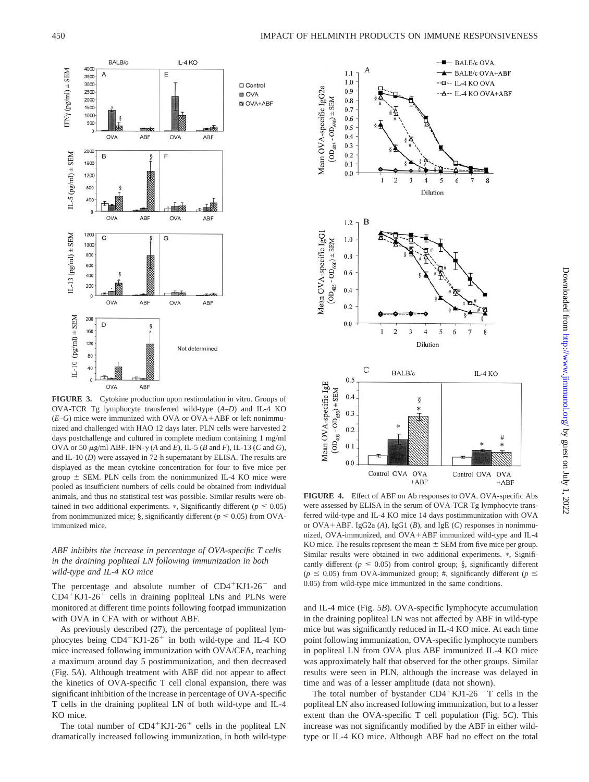

**FIGURE 3.** Cytokine production upon restimulation in vitro. Groups of OVA-TCR Tg lymphocyte transferred wild-type (*A–D*) and IL-4 KO (*E–G*) mice were immunized with OVA or OVA-ABF or left nonimmunized and challenged with HAO 12 days later. PLN cells were harvested 2 days postchallenge and cultured in complete medium containing 1 mg/ml OVA or 50  $\mu$ g/ml ABF. IFN- $\gamma$  (*A* and *E*), IL-5 (*B* and *F*), IL-13 (*C* and *G*), and IL-10 (*D*) were assayed in 72-h supernatant by ELISA. The results are displayed as the mean cytokine concentration for four to five mice per group  $\pm$  SEM. PLN cells from the nonimmunized IL-4 KO mice were pooled as insufficient numbers of cells could be obtained from individual animals, and thus no statistical test was possible. Similar results were obtained in two additional experiments.  $\ast$ , Significantly different ( $p \le 0.05$ ) from nonimmunized mice; §, significantly different ( $p \le 0.05$ ) from OVAimmunized mice.

# *ABF inhibits the increase in percentage of OVA-specific T cells in the draining popliteal LN following immunization in both wild-type and IL-4 KO mice*

The percentage and absolute number of  $CD4+KJ1-26^-$  and  $CD4+KJ1-26+$  cells in draining popliteal LNs and PLNs were monitored at different time points following footpad immunization with OVA in CFA with or without ABF.

As previously described (27), the percentage of popliteal lymphocytes being CD4<sup>+</sup>KJ1-26<sup>+</sup> in both wild-type and IL-4 KO mice increased following immunization with OVA/CFA, reaching a maximum around day 5 postimmunization, and then decreased (Fig. 5*A*). Although treatment with ABF did not appear to affect the kinetics of OVA-specific T cell clonal expansion, there was significant inhibition of the increase in percentage of OVA-specific T cells in the draining popliteal LN of both wild-type and IL-4 KO mice.

The total number of  $CD4+KJ1-26+$  cells in the popliteal LN dramatically increased following immunization, in both wild-type



**FIGURE 4.** Effect of ABF on Ab responses to OVA. OVA-specific Abs were assessed by ELISA in the serum of OVA-TCR Tg lymphocyte transferred wild-type and IL-4 KO mice 14 days postimmunization with OVA or OVA-ABF. IgG2a (*A*), IgG1 (*B*), and IgE (*C*) responses in nonimmunized, OVA-immunized, and OVA-ABF immunized wild-type and IL-4 KO mice. The results represent the mean  $\pm$  SEM from five mice per group. Similar results were obtained in two additional experiments. \*, Significantly different ( $p \leq 0.05$ ) from control group; §, significantly different  $(p \le 0.05)$  from OVA-immunized group; #, significantly different ( $p \le$ 0.05) from wild-type mice immunized in the same conditions.

and IL-4 mice (Fig. 5*B*). OVA-specific lymphocyte accumulation in the draining popliteal LN was not affected by ABF in wild-type mice but was significantly reduced in IL-4 KO mice. At each time point following immunization, OVA-specific lymphocyte numbers in popliteal LN from OVA plus ABF immunized IL-4 KO mice was approximately half that observed for the other groups. Similar results were seen in PLN, although the increase was delayed in time and was of a lesser amplitude (data not shown).

The total number of bystander  $CD4+KJ1-26$ <sup>-</sup> T cells in the popliteal LN also increased following immunization, but to a lesser extent than the OVA-specific T cell population (Fig. 5*C*). This increase was not significantly modified by the ABF in either wildtype or IL-4 KO mice. Although ABF had no effect on the total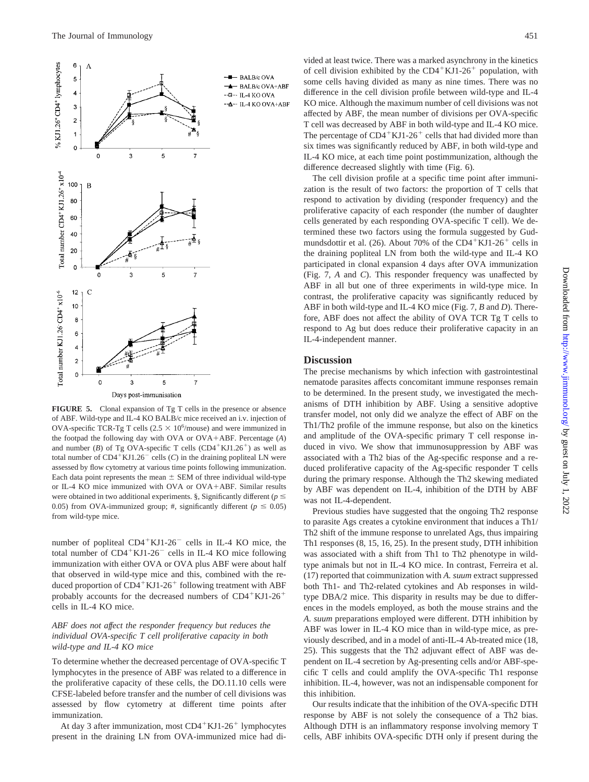

**FIGURE 5.** Clonal expansion of Tg T cells in the presence or absence of ABF. Wild-type and IL-4 KO BALB/c mice received an i.v. injection of OVA-specific TCR-Tg T cells ( $2.5 \times 10^6$ /mouse) and were immunized in the footpad the following day with OVA or OVA-ABF. Percentage (*A*) and number ( $B$ ) of Tg OVA-specific T cells ( $CD4+KJ1.26+$ ) as well as total number of  $CD4+KJ1.26$ <sup>-</sup> cells (*C*) in the draining popliteal LN were assessed by flow cytometry at various time points following immunization. Each data point represents the mean  $\pm$  SEM of three individual wild-type or IL-4 KO mice immunized with OVA or OVA-ABF. Similar results were obtained in two additional experiments. §, Significantly different ( $p \leq$ 0.05) from OVA-immunized group; #, significantly different ( $p \le 0.05$ ) from wild-type mice.

number of popliteal  $CD4+KJ1-26$ <sup>-</sup> cells in IL-4 KO mice, the total number of CD4<sup>+</sup>KJ1-26<sup>-</sup> cells in IL-4 KO mice following immunization with either OVA or OVA plus ABF were about half that observed in wild-type mice and this, combined with the reduced proportion of CD4<sup>+</sup>KJ1-26<sup>+</sup> following treatment with ABF probably accounts for the decreased numbers of CD4+KJ1-26+ cells in IL-4 KO mice.

# *ABF does not affect the responder frequency but reduces the individual OVA-specific T cell proliferative capacity in both wild-type and IL-4 KO mice*

To determine whether the decreased percentage of OVA-specific T lymphocytes in the presence of ABF was related to a difference in the proliferative capacity of these cells, the DO.11.10 cells were CFSE-labeled before transfer and the number of cell divisions was assessed by flow cytometry at different time points after immunization.

At day 3 after immunization, most CD4<sup>+</sup>KJ1-26<sup>+</sup> lymphocytes present in the draining LN from OVA-immunized mice had di-

vided at least twice. There was a marked asynchrony in the kinetics of cell division exhibited by the  $CD4+KJ1-26$ <sup>+</sup> population, with some cells having divided as many as nine times. There was no difference in the cell division profile between wild-type and IL-4 KO mice. Although the maximum number of cell divisions was not affected by ABF, the mean number of divisions per OVA-specific T cell was decreased by ABF in both wild-type and IL-4 KO mice. The percentage of  $CD4+KJ1-26+$  cells that had divided more than six times was significantly reduced by ABF, in both wild-type and IL-4 KO mice, at each time point postimmunization, although the difference decreased slightly with time (Fig. 6).

The cell division profile at a specific time point after immunization is the result of two factors: the proportion of T cells that respond to activation by dividing (responder frequency) and the proliferative capacity of each responder (the number of daughter cells generated by each responding OVA-specific T cell). We determined these two factors using the formula suggested by Gudmundsdottir et al. (26). About 70% of the  $CD4+KJ1-26+$  cells in the draining popliteal LN from both the wild-type and IL-4 KO participated in clonal expansion 4 days after OVA immunization (Fig. 7, *A* and *C*). This responder frequency was unaffected by ABF in all but one of three experiments in wild-type mice. In contrast, the proliferative capacity was significantly reduced by ABF in both wild-type and IL-4 KO mice (Fig. 7, *B* and *D*). Therefore, ABF does not affect the ability of OVA TCR Tg T cells to respond to Ag but does reduce their proliferative capacity in an IL-4-independent manner.

## **Discussion**

The precise mechanisms by which infection with gastrointestinal nematode parasites affects concomitant immune responses remain to be determined. In the present study, we investigated the mechanisms of DTH inhibition by ABF. Using a sensitive adoptive transfer model, not only did we analyze the effect of ABF on the Th1/Th2 profile of the immune response, but also on the kinetics and amplitude of the OVA-specific primary T cell response induced in vivo. We show that immunosuppression by ABF was associated with a Th2 bias of the Ag-specific response and a reduced proliferative capacity of the Ag-specific responder T cells during the primary response. Although the Th2 skewing mediated by ABF was dependent on IL-4, inhibition of the DTH by ABF was not IL-4-dependent.

Previous studies have suggested that the ongoing Th2 response to parasite Ags creates a cytokine environment that induces a Th1/ Th2 shift of the immune response to unrelated Ags, thus impairing Th1 responses (8, 15, 16, 25). In the present study, DTH inhibition was associated with a shift from Th1 to Th2 phenotype in wildtype animals but not in IL-4 KO mice. In contrast, Ferreira et al. (17) reported that coimmunization with *A. suum* extract suppressed both Th1- and Th2-related cytokines and Ab responses in wildtype DBA/2 mice. This disparity in results may be due to differences in the models employed, as both the mouse strains and the *A. suum* preparations employed were different. DTH inhibition by ABF was lower in IL-4 KO mice than in wild-type mice, as previously described, and in a model of anti-IL-4 Ab-treated mice (18, 25). This suggests that the Th2 adjuvant effect of ABF was dependent on IL-4 secretion by Ag-presenting cells and/or ABF-specific T cells and could amplify the OVA-specific Th1 response inhibition. IL-4, however, was not an indispensable component for this inhibition.

Our results indicate that the inhibition of the OVA-specific DTH response by ABF is not solely the consequence of a Th2 bias. Although DTH is an inflammatory response involving memory T cells, ABF inhibits OVA-specific DTH only if present during the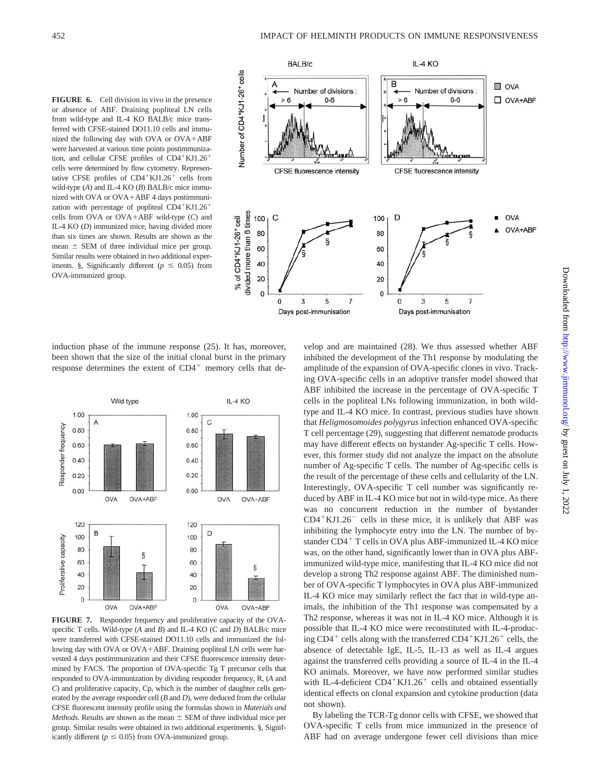**FIGURE 6.** Cell division in vivo in the presence or absence of ABF. Draining popliteal LN cells from wild-type and IL-4 KO BALB/c mice transferred with CFSE-stained DO11.10 cells and immunized the following day with OVA or OVA-ABF were harvested at various time points postimmunization, and cellular CFSE profiles of CD4<sup>+</sup>KJ1.26<sup>+</sup> cells were determined by flow cytometry. Representative CFSE profiles of  $CD4+KJ1.26+$  cells from wild-type (*A*) and IL-4 KO (*B*) BALB/c mice immunized with OVA or OVA-ABF 4 days postimmunization with percentage of popliteal  $CD4+KJ1.26$ <sup>+</sup> cells from OVA or OVA-ABF wild-type (*C*) and IL-4 KO (*D*) immunized mice, having divided more than six times are shown. Results are shown as the mean  $\pm$  SEM of three individual mice per group. Similar results were obtained in two additional experiments. §, Significantly different ( $p \leq 0.05$ ) from OVA-immunized group.



induction phase of the immune response (25). It has, moreover, been shown that the size of the initial clonal burst in the primary response determines the extent of CD4<sup>+</sup> memory cells that de-



**FIGURE 7.** Responder frequency and proliferative capacity of the OVAspecific T cells. Wild-type (*A* and *B*) and IL-4 KO (*C* and *D*) BALB/c mice were transferred with CFSE-stained DO11.10 cells and immunized the following day with OVA or OVA-ABF. Draining popliteal LN cells were harvested 4 days postimmunization and their CFSE fluorescence intensity determined by FACS. The proportion of OVA-specific Tg T precursor cells that responded to OVA-immunization by dividing responder frequency, R, (*A* and *C*) and proliferative capacity, Cp, which is the number of daughter cells generated by the average responder cell (*B* and *D*), were deduced from the cellular CFSE fluorescent intensity profile using the formulas shown in *Materials and Methods*. Results are shown as the mean  $\pm$  SEM of three individual mice per group. Similar results were obtained in two additional experiments. §, Significantly different ( $p \leq 0.05$ ) from OVA-immunized group.

velop and are maintained (28). We thus assessed whether ABF inhibited the development of the Th1 response by modulating the amplitude of the expansion of OVA-specific clones in vivo. Tracking OVA-specific cells in an adoptive transfer model showed that ABF inhibited the increase in the percentage of OVA-specific T cells in the popliteal LNs following immunization, in both wildtype and IL-4 KO mice. In contrast, previous studies have shown that *Heligmosomoides polygyrus* infection enhanced OVA-specific T cell percentage (29), suggesting that different nematode products may have different effects on bystander Ag-specific T cells. However, this former study did not analyze the impact on the absolute number of Ag-specific T cells. The number of Ag-specific cells is the result of the percentage of these cells and cellularity of the LN. Interestingly, OVA-specific T cell number was significantly reduced by ABF in IL-4 KO mice but not in wild-type mice. As there was no concurrent reduction in the number of bystander  $CD4+KJ1.26$  cells in these mice, it is unlikely that ABF was inhibiting the lymphocyte entry into the LN. The number of bystander CD4<sup>+</sup> T cells in OVA plus ABF-immunized IL-4 KO mice was, on the other hand, significantly lower than in OVA plus ABFimmunized wild-type mice, manifesting that IL-4 KO mice did not develop a strong Th2 response against ABF. The diminished number of OVA-specific T lymphocytes in OVA plus ABF-immunized IL-4 KO mice may similarly reflect the fact that in wild-type animals, the inhibition of the Th1 response was compensated by a Th2 response, whereas it was not in IL-4 KO mice. Although it is possible that IL-4 KO mice were reconstituted with IL-4-producing  $CD4^+$  cells along with the transferred  $CD4^+$ KJ1.26<sup>+</sup> cells, the absence of detectable IgE, IL-5, IL-13 as well as IL-4 argues against the transferred cells providing a source of IL-4 in the IL-4 KO animals. Moreover, we have now performed similar studies with IL-4-deficient CD4<sup>+</sup>KJ1.26<sup>+</sup> cells and obtained essentially identical effects on clonal expansion and cytokine production (data not shown).

By labeling the TCR-Tg donor cells with CFSE, we showed that OVA-specific T cells from mice immunized in the presence of ABF had on average undergone fewer cell divisions than mice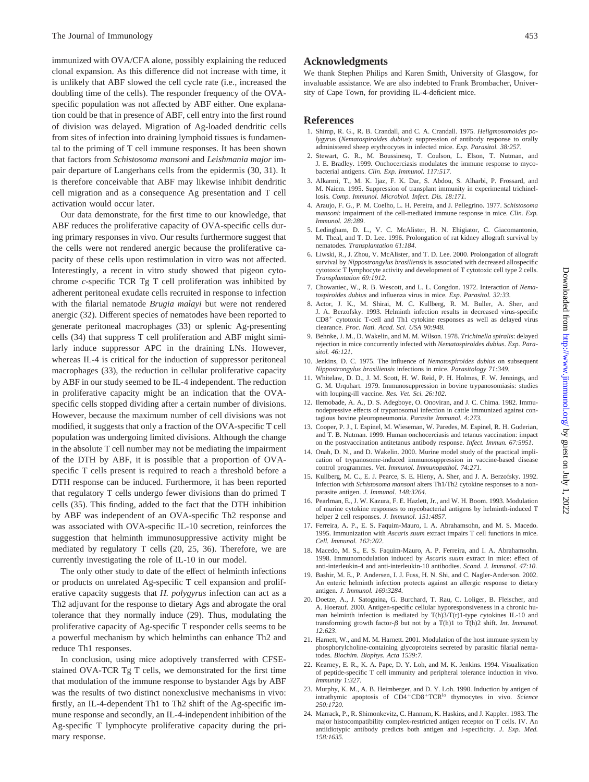immunized with OVA/CFA alone, possibly explaining the reduced clonal expansion. As this difference did not increase with time, it is unlikely that ABF slowed the cell cycle rate (i.e., increased the doubling time of the cells). The responder frequency of the OVAspecific population was not affected by ABF either. One explanation could be that in presence of ABF, cell entry into the first round of division was delayed. Migration of Ag-loaded dendritic cells from sites of infection into draining lymphoid tissues is fundamental to the priming of T cell immune responses. It has been shown that factors from *Schistosoma mansoni* and *Leishmania major* impair departure of Langerhans cells from the epidermis (30, 31). It is therefore conceivable that ABF may likewise inhibit dendritic cell migration and as a consequence Ag presentation and T cell activation would occur later.

Our data demonstrate, for the first time to our knowledge, that ABF reduces the proliferative capacity of OVA-specific cells during primary responses in vivo. Our results furthermore suggest that the cells were not rendered anergic because the proliferative capacity of these cells upon restimulation in vitro was not affected. Interestingly, a recent in vitro study showed that pigeon cytochrome *c*-specific TCR Tg T cell proliferation was inhibited by adherent peritoneal exudate cells recruited in response to infection with the filarial nematode *Brugia malayi* but were not rendered anergic (32). Different species of nematodes have been reported to generate peritoneal macrophages (33) or splenic Ag-presenting cells (34) that suppress T cell proliferation and ABF might similarly induce suppressor APC in the draining LNs. However, whereas IL-4 is critical for the induction of suppressor peritoneal macrophages (33), the reduction in cellular proliferative capacity by ABF in our study seemed to be IL-4 independent. The reduction in proliferative capacity might be an indication that the OVAspecific cells stopped dividing after a certain number of divisions. However, because the maximum number of cell divisions was not modified, it suggests that only a fraction of the OVA-specific T cell population was undergoing limited divisions. Although the change in the absolute T cell number may not be mediating the impairment of the DTH by ABF, it is possible that a proportion of OVAspecific T cells present is required to reach a threshold before a DTH response can be induced. Furthermore, it has been reported that regulatory T cells undergo fewer divisions than do primed T cells (35). This finding, added to the fact that the DTH inhibition by ABF was independent of an OVA-specific Th2 response and was associated with OVA-specific IL-10 secretion, reinforces the suggestion that helminth immunosuppressive activity might be mediated by regulatory T cells (20, 25, 36). Therefore, we are currently investigating the role of IL-10 in our model.

The only other study to date of the effect of helminth infections or products on unrelated Ag-specific T cell expansion and proliferative capacity suggests that *H. polygyrus* infection can act as a Th2 adjuvant for the response to dietary Ags and abrogate the oral tolerance that they normally induce (29). Thus, modulating the proliferative capacity of Ag-specific T responder cells seems to be a powerful mechanism by which helminths can enhance Th2 and reduce Th1 responses.

In conclusion, using mice adoptively transferred with CFSEstained OVA-TCR Tg T cells, we demonstrated for the first time that modulation of the immune response to bystander Ags by ABF was the results of two distinct nonexclusive mechanisms in vivo: firstly, an IL-4-dependent Th1 to Th2 shift of the Ag-specific immune response and secondly, an IL-4-independent inhibition of the Ag-specific T lymphocyte proliferative capacity during the primary response.

# **Acknowledgments**

We thank Stephen Philips and Karen Smith, University of Glasgow, for invaluable assistance. We are also indebted to Frank Brombacher, University of Cape Town, for providing IL-4-deficient mice.

# **References**

- 1. Shimp, R. G., R. B. Crandall, and C. A. Crandall. 1975. *Heligmosomoides polygyru*s (*Nematospiroides dubius*): suppression of antibody response to orally administered sheep erythrocytes in infected mice. *Exp. Parasitol. 38:257.*
- 2. Stewart, G. R., M. Boussinesq, T. Coulson, L. Elson, T. Nutman, and J. E. Bradley. 1999. Onchocerciasis modulates the immune response to mycobacterial antigens. *Clin. Exp. Immunol. 117:517.*
- 3. Alkarmi, T., M. K. Ijaz, F. K. Dar, S. Abdou, S. Alharbi, P. Frossard, and M. Naiem. 1995. Suppression of transplant immunity in experimental trichinellosis. *Comp. Immunol. Microbiol. Infect. Dis. 18:171.*
- 4. Araujo, F. G., P. M. Coelho, L. H. Pereira, and J. Pellegrino. 1977. *Schistosoma mansoni*: impairment of the cell-mediated immune response in mice. *Clin. Exp. Immunol. 28:289*.
- 5. Ledingham, D. L., V. C. McAlister, H. N. Ehigiator, C. Giacomantonio, M. Theal, and T. D. Lee. 1996. Prolongation of rat kidney allograft survival by nematodes. *Transplantation 61:184*.
- 6. Liwski, R., J. Zhou, V. McAlister, and T. D. Lee. 2000. Prolongation of allograft survival by *Nippostrongylus brasiliensis* is associated with decreased allospecific cytotoxic T lymphocyte activity and development of T cytotoxic cell type 2 cells. *Transplantation 69:1912*.
- 7. Chowaniec, W., R. B. Wescott, and L. L. Congdon. 1972. Interaction of *Nematospiroides dubius* and influenza virus in mice. *Exp. Parasitol. 32:33*.
- 8. Actor, J. K., M. Shirai, M. C. Kullberg, R. M. Buller, A. Sher, and J. A. Berzofsky. 1993. Helminth infection results in decreased virus-specific CD8- cytotoxic T-cell and Th1 cytokine responses as well as delayed virus clearance. *Proc. Natl. Acad. Sci. USA 90:948*.
- 9. Behnke, J. M., D. Wakelin, and M. M. Wilson. 1978. *Trichinella spiralis*: delayed rejection in mice concurrently infected with *Nematospiroides dubius*. *Exp. Parasitol. 46:121*.
- 10. Jenkins, D. C. 1975. The influence of *Nematospiroides dubius* on subsequent *Nippostrongylus brasiliensis* infections in mice. *Parasitology 71:349*.
- 11. Whitelaw, D. D., J. M. Scott, H. W. Reid, P. H. Holmes, F. W. Jennings, and G. M. Urquhart. 1979. Immunosuppression in bovine trypanosomiasis: studies with louping-ill vaccine. *Res. Vet. Sci. 26:102*.
- 12. Ilemobade, A. A., D. S. Adegboye, O. Onoviran, and J. C. Chima. 1982. Immunodepressive effects of trypanosomal infection in cattle immunized against contagious bovine pleuropneumonia. *Parasite Immunol. 4:273*.
- 13. Cooper, P. J., I. Espinel, M. Wieseman, W. Paredes, M. Espinel, R. H. Guderian, and T. B. Nutman. 1999. Human onchocerciasis and tetanus vaccination: impact on the postvaccination antitetanus antibody response. *Infect. Immun. 67:5951*.
- 14. Onah, D. N., and D. Wakelin. 2000. Murine model study of the practical implication of trypanosome-induced immunosuppression in vaccine-based disease control programmes. *Vet. Immunol. Immunopathol. 74:271*.
- 15. Kullberg, M. C., E. J. Pearce, S. E. Hieny, A. Sher, and J. A. Berzofsky. 1992. Infection with *Schistosoma mansoni* alters Th1/Th2 cytokine responses to a nonparasite antigen. *J. Immunol. 148:3264*.
- 16. Pearlman, E., J. W. Kazura, F. E. Hazlett, Jr., and W. H. Boom. 1993. Modulation of murine cytokine responses to mycobacterial antigens by helminth-induced T helper 2 cell responses. *J. Immunol. 151:4857*.
- 17. Ferreira, A. P., E. S. Faquim-Mauro, I. A. Abrahamsohn, and M. S. Macedo. 1995. Immunization with *Ascaris suum* extract impairs T cell functions in mice. *Cell. Immunol. 162:202*.
- 18. Macedo, M. S., E. S. Faquim-Mauro, A. P. Ferreira, and I. A. Abrahamsohn. 1998. Immunomodulation induced by *Ascaris suum* extract in mice: effect of anti-interleukin-4 and anti-interleukin-10 antibodies. *Scand. J. Immunol. 47:10*.
- 19. Bashir, M. E., P. Andersen, I. J. Fuss, H. N. Shi, and C. Nagler-Anderson. 2002. An enteric helminth infection protects against an allergic response to dietary antigen. *J. Immunol. 169:3284*.
- 20. Doetze, A., J. Satoguina, G. Burchard, T. Rau, C. Loliger, B. Fleischer, and A. Hoerauf. 2000. Antigen-specific cellular hyporesponsiveness in a chronic human helminth infection is mediated by  $T(h)3/T(r)1$ -type cytokines IL-10 and transforming growth factor- $\beta$  but not by a T(h)1 to T(h)2 shift. *Int. Immunol. 12:623*.
- 21. Harnett, W., and M. M. Harnett. 2001. Modulation of the host immune system by phosphorylcholine-containing glycoproteins secreted by parasitic filarial nematodes. *Biochim. Biophys. Acta 1539:7*.
- 22. Kearney, E. R., K. A. Pape, D. Y. Loh, and M. K. Jenkins. 1994. Visualization of peptide-specific T cell immunity and peripheral tolerance induction in vivo. *Immunity 1:327*.
- 23. Murphy, K. M., A. B. Heimberger, and D. Y. Loh. 1990. Induction by antigen of intrathymic apoptosis of CD4-CD8-TCRlo thymocytes in vivo. *Science 250:1720*.
- 24. Marrack, P., R. Shimonkevitz, C. Hannum, K. Haskins, and J. Kappler. 1983. The major histocompatibility complex-restricted antigen receptor on T cells. IV. An antiidiotypic antibody predicts both antigen and I-specificity. *J. Exp. Med. 158:1635*.